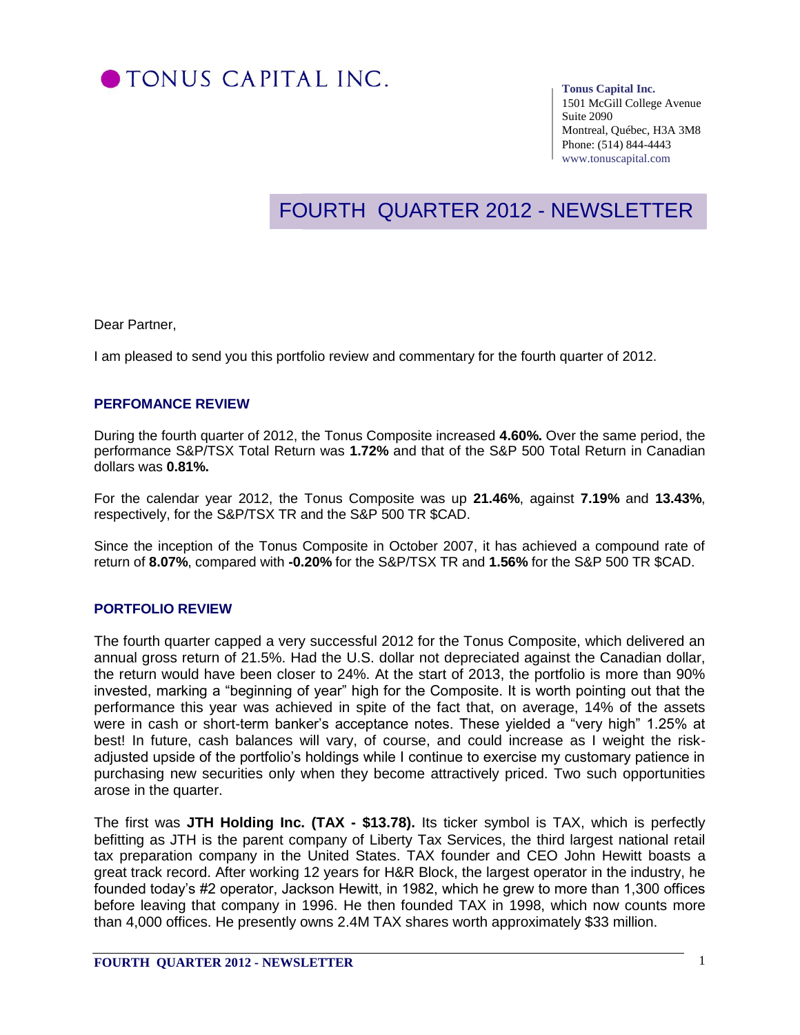

#### **Tonus Capital Inc.**

1501 McGill College Avenue Suite 2090 Montreal, Québec, H3A 3M8 Phone: (514) 844-4443 www.tonuscapital.com

# FOURTH QUARTER 2012 - NEWSLETTER

Dear Partner,

I am pleased to send you this portfolio review and commentary for the fourth quarter of 2012.

#### **PERFOMANCE REVIEW**

During the fourth quarter of 2012, the Tonus Composite increased **4.60%.** Over the same period, the performance S&P/TSX Total Return was **1.72%** and that of the S&P 500 Total Return in Canadian dollars was **0.81%.**

For the calendar year 2012, the Tonus Composite was up **21.46%**, against **7.19%** and **13.43%**, respectively, for the S&P/TSX TR and the S&P 500 TR \$CAD.

Since the inception of the Tonus Composite in October 2007, it has achieved a compound rate of return of **8.07%**, compared with **-0.20%** for the S&P/TSX TR and **1.56%** for the S&P 500 TR \$CAD.

#### **PORTFOLIO REVIEW**

The fourth quarter capped a very successful 2012 for the Tonus Composite, which delivered an annual gross return of 21.5%. Had the U.S. dollar not depreciated against the Canadian dollar, the return would have been closer to 24%. At the start of 2013, the portfolio is more than 90% invested, marking a "beginning of year" high for the Composite. It is worth pointing out that the performance this year was achieved in spite of the fact that, on average, 14% of the assets were in cash or short-term banker's acceptance notes. These yielded a "very high" 1.25% at best! In future, cash balances will vary, of course, and could increase as I weight the riskadjusted upside of the portfolio's holdings while I continue to exercise my customary patience in purchasing new securities only when they become attractively priced. Two such opportunities arose in the quarter.

The first was **JTH Holding Inc. (TAX - \$13.78).** Its ticker symbol is TAX, which is perfectly befitting as JTH is the parent company of Liberty Tax Services, the third largest national retail tax preparation company in the United States. TAX founder and CEO John Hewitt boasts a great track record. After working 12 years for H&R Block, the largest operator in the industry, he founded today's #2 operator, Jackson Hewitt, in 1982, which he grew to more than 1,300 offices before leaving that company in 1996. He then founded TAX in 1998, which now counts more than 4,000 offices. He presently owns 2.4M TAX shares worth approximately \$33 million.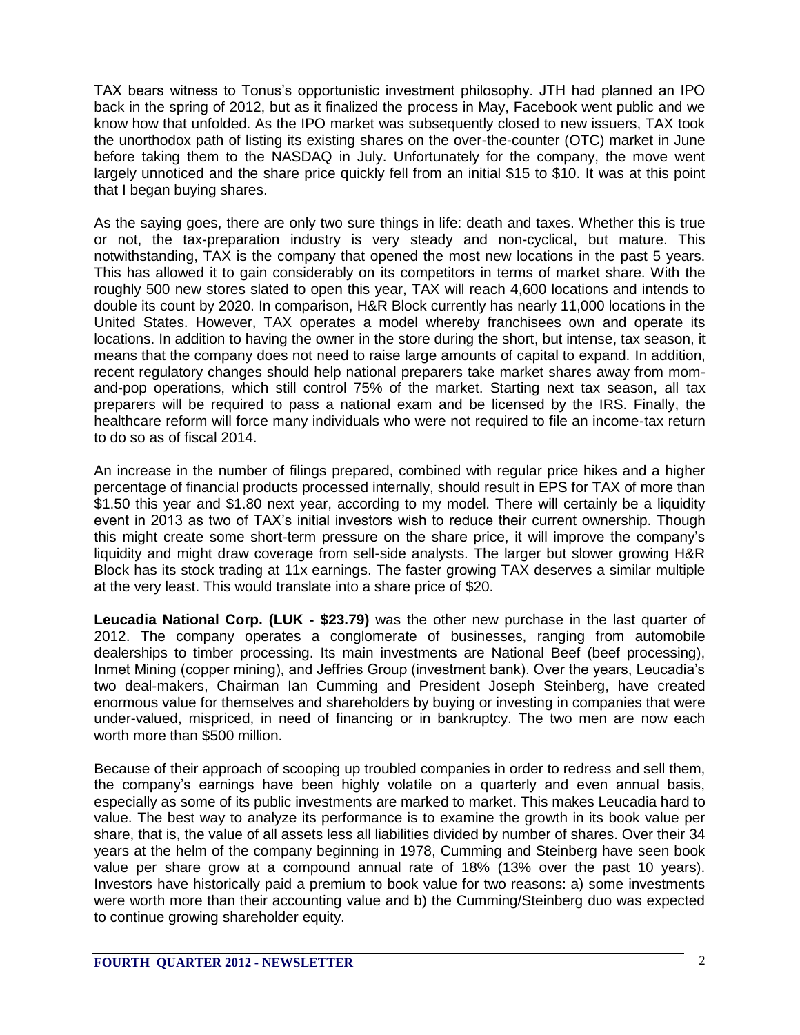TAX bears witness to Tonus's opportunistic investment philosophy. JTH had planned an IPO back in the spring of 2012, but as it finalized the process in May, Facebook went public and we know how that unfolded. As the IPO market was subsequently closed to new issuers, TAX took the unorthodox path of listing its existing shares on the over-the-counter (OTC) market in June before taking them to the NASDAQ in July. Unfortunately for the company, the move went largely unnoticed and the share price quickly fell from an initial \$15 to \$10. It was at this point that I began buying shares.

As the saying goes, there are only two sure things in life: death and taxes. Whether this is true or not, the tax-preparation industry is very steady and non-cyclical, but mature. This notwithstanding, TAX is the company that opened the most new locations in the past 5 years. This has allowed it to gain considerably on its competitors in terms of market share. With the roughly 500 new stores slated to open this year, TAX will reach 4,600 locations and intends to double its count by 2020. In comparison, H&R Block currently has nearly 11,000 locations in the United States. However, TAX operates a model whereby franchisees own and operate its locations. In addition to having the owner in the store during the short, but intense, tax season, it means that the company does not need to raise large amounts of capital to expand. In addition, recent regulatory changes should help national preparers take market shares away from momand-pop operations, which still control 75% of the market. Starting next tax season, all tax preparers will be required to pass a national exam and be licensed by the IRS. Finally, the healthcare reform will force many individuals who were not required to file an income-tax return to do so as of fiscal 2014.

An increase in the number of filings prepared, combined with regular price hikes and a higher percentage of financial products processed internally, should result in EPS for TAX of more than \$1.50 this year and \$1.80 next year, according to my model. There will certainly be a liquidity event in 2013 as two of TAX's initial investors wish to reduce their current ownership. Though this might create some short-term pressure on the share price, it will improve the company's liquidity and might draw coverage from sell-side analysts. The larger but slower growing H&R Block has its stock trading at 11x earnings. The faster growing TAX deserves a similar multiple at the very least. This would translate into a share price of \$20.

**Leucadia National Corp. (LUK - \$23.79)** was the other new purchase in the last quarter of 2012. The company operates a conglomerate of businesses, ranging from automobile dealerships to timber processing. Its main investments are National Beef (beef processing), Inmet Mining (copper mining), and Jeffries Group (investment bank). Over the years, Leucadia's two deal-makers, Chairman Ian Cumming and President Joseph Steinberg, have created enormous value for themselves and shareholders by buying or investing in companies that were under-valued, mispriced, in need of financing or in bankruptcy. The two men are now each worth more than \$500 million.

Because of their approach of scooping up troubled companies in order to redress and sell them, the company's earnings have been highly volatile on a quarterly and even annual basis, especially as some of its public investments are marked to market. This makes Leucadia hard to value. The best way to analyze its performance is to examine the growth in its book value per share, that is, the value of all assets less all liabilities divided by number of shares. Over their 34 years at the helm of the company beginning in 1978, Cumming and Steinberg have seen book value per share grow at a compound annual rate of 18% (13% over the past 10 years). Investors have historically paid a premium to book value for two reasons: a) some investments were worth more than their accounting value and b) the Cumming/Steinberg duo was expected to continue growing shareholder equity.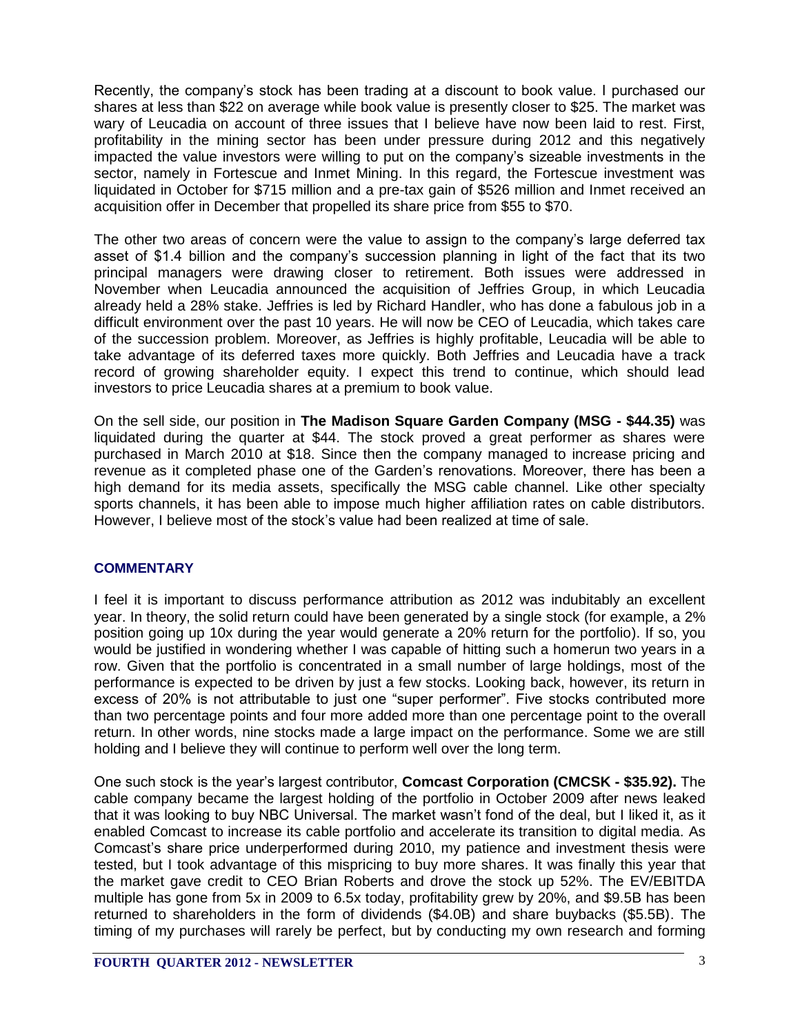Recently, the company's stock has been trading at a discount to book value. I purchased our shares at less than \$22 on average while book value is presently closer to \$25. The market was wary of Leucadia on account of three issues that I believe have now been laid to rest. First, profitability in the mining sector has been under pressure during 2012 and this negatively impacted the value investors were willing to put on the company's sizeable investments in the sector, namely in Fortescue and Inmet Mining. In this regard, the Fortescue investment was liquidated in October for \$715 million and a pre-tax gain of \$526 million and Inmet received an acquisition offer in December that propelled its share price from \$55 to \$70.

The other two areas of concern were the value to assign to the company's large deferred tax asset of \$1.4 billion and the company's succession planning in light of the fact that its two principal managers were drawing closer to retirement. Both issues were addressed in November when Leucadia announced the acquisition of Jeffries Group, in which Leucadia already held a 28% stake. Jeffries is led by Richard Handler, who has done a fabulous job in a difficult environment over the past 10 years. He will now be CEO of Leucadia, which takes care of the succession problem. Moreover, as Jeffries is highly profitable, Leucadia will be able to take advantage of its deferred taxes more quickly. Both Jeffries and Leucadia have a track record of growing shareholder equity. I expect this trend to continue, which should lead investors to price Leucadia shares at a premium to book value.

On the sell side, our position in **The Madison Square Garden Company (MSG - \$44.35)** was liquidated during the quarter at \$44. The stock proved a great performer as shares were purchased in March 2010 at \$18. Since then the company managed to increase pricing and revenue as it completed phase one of the Garden's renovations. Moreover, there has been a high demand for its media assets, specifically the MSG cable channel. Like other specialty sports channels, it has been able to impose much higher affiliation rates on cable distributors. However, I believe most of the stock's value had been realized at time of sale.

### **COMMENTARY**

I feel it is important to discuss performance attribution as 2012 was indubitably an excellent year. In theory, the solid return could have been generated by a single stock (for example, a 2% position going up 10x during the year would generate a 20% return for the portfolio). If so, you would be justified in wondering whether I was capable of hitting such a homerun two years in a row. Given that the portfolio is concentrated in a small number of large holdings, most of the performance is expected to be driven by just a few stocks. Looking back, however, its return in excess of 20% is not attributable to just one "super performer". Five stocks contributed more than two percentage points and four more added more than one percentage point to the overall return. In other words, nine stocks made a large impact on the performance. Some we are still holding and I believe they will continue to perform well over the long term.

One such stock is the year's largest contributor, **Comcast Corporation (CMCSK - \$35.92).** The cable company became the largest holding of the portfolio in October 2009 after news leaked that it was looking to buy NBC Universal. The market wasn't fond of the deal, but I liked it, as it enabled Comcast to increase its cable portfolio and accelerate its transition to digital media. As Comcast's share price underperformed during 2010, my patience and investment thesis were tested, but I took advantage of this mispricing to buy more shares. It was finally this year that the market gave credit to CEO Brian Roberts and drove the stock up 52%. The EV/EBITDA multiple has gone from 5x in 2009 to 6.5x today, profitability grew by 20%, and \$9.5B has been returned to shareholders in the form of dividends (\$4.0B) and share buybacks (\$5.5B). The timing of my purchases will rarely be perfect, but by conducting my own research and forming